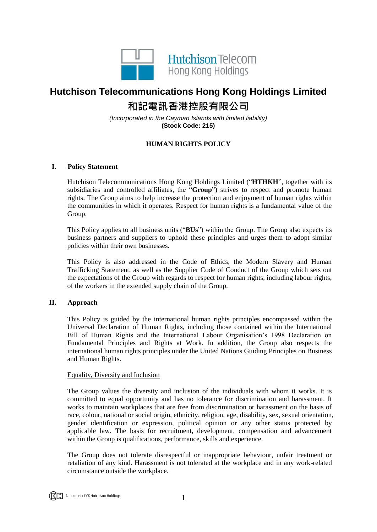

# **Hutchison Telecommunications Hong Kong Holdings Limited 和記電訊香港控股有限公司**

*(Incorporated in the Cayman Islands with limited liability)* **(Stock Code: 215)**

# **HUMAN RIGHTS POLICY**

# **I. Policy Statement**

Hutchison Telecommunications Hong Kong Holdings Limited ("**HTHKH**", together with its subsidiaries and controlled affiliates, the "**Group**") strives to respect and promote human rights. The Group aims to help increase the protection and enjoyment of human rights within the communities in which it operates. Respect for human rights is a fundamental value of the Group.

This Policy applies to all business units ("**BUs**") within the Group. The Group also expects its business partners and suppliers to uphold these principles and urges them to adopt similar policies within their own businesses.

This Policy is also addressed in the Code of Ethics, the Modern Slavery and Human Trafficking Statement, as well as the Supplier Code of Conduct of the Group which sets out the expectations of the Group with regards to respect for human rights, including labour rights, of the workers in the extended supply chain of the Group.

## **II. Approach**

This Policy is guided by the international human rights principles encompassed within the Universal Declaration of Human Rights, including those contained within the International Bill of Human Rights and the International Labour Organisation's 1998 Declaration on Fundamental Principles and Rights at Work. In addition, the Group also respects the international human rights principles under the United Nations Guiding Principles on Business and Human Rights.

## Equality, Diversity and Inclusion

The Group values the diversity and inclusion of the individuals with whom it works. It is committed to equal opportunity and has no tolerance for discrimination and harassment. It works to maintain workplaces that are free from discrimination or harassment on the basis of race, colour, national or social origin, ethnicity, religion, age, disability, sex, sexual orientation, gender identification or expression, political opinion or any other status protected by applicable law. The basis for recruitment, development, compensation and advancement within the Group is qualifications, performance, skills and experience.

The Group does not tolerate disrespectful or inappropriate behaviour, unfair treatment or retaliation of any kind. Harassment is not tolerated at the workplace and in any work-related circumstance outside the workplace.